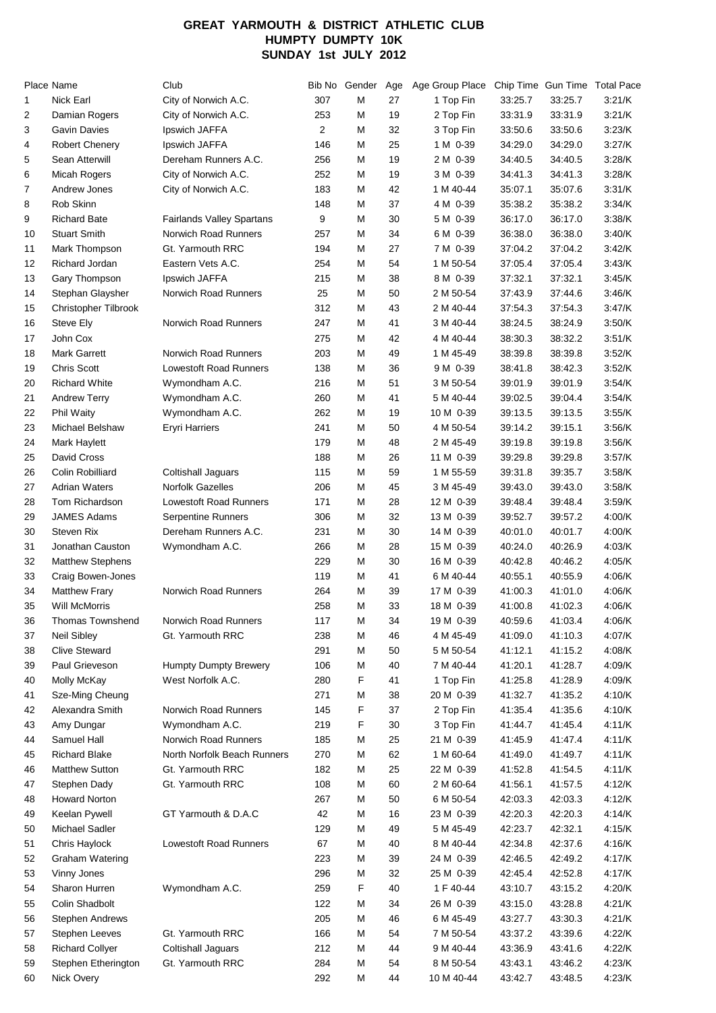## **GREAT YARMOUTH & DISTRICT ATHLETIC CLUB HUMPTY DUMPTY 10K SUNDAY 1st JULY 2012**

|    | Place Name                          | Club                             |     | Bib No Gender | Age | Age Group Place        |                    |                    | Chip Time Gun Time Total Pace |
|----|-------------------------------------|----------------------------------|-----|---------------|-----|------------------------|--------------------|--------------------|-------------------------------|
| 1  | Nick Earl                           | City of Norwich A.C.             | 307 | М             | 27  | 1 Top Fin              | 33:25.7            | 33:25.7            | 3:21/K                        |
| 2  | Damian Rogers                       | City of Norwich A.C.             | 253 | м             | 19  | 2 Top Fin              | 33:31.9            | 33:31.9            | 3:21/K                        |
| 3  | <b>Gavin Davies</b>                 | Ipswich JAFFA                    | 2   | м             | 32  | 3 Top Fin              | 33:50.6            | 33:50.6            | 3:23/K                        |
| 4  | <b>Robert Chenery</b>               | Ipswich JAFFA                    | 146 | м             | 25  | 1 M 0-39               | 34:29.0            | 34:29.0            | 3:27/K                        |
| 5  | Sean Atterwill                      | Dereham Runners A.C.             | 256 | м             | 19  | 2 M 0-39               | 34:40.5            | 34:40.5            | 3:28/K                        |
| 6  | <b>Micah Rogers</b>                 | City of Norwich A.C.             | 252 | м             | 19  | 3 M 0-39               | 34:41.3            | 34:41.3            | 3:28/K                        |
| 7  | Andrew Jones                        | City of Norwich A.C.             | 183 | м             | 42  | 1 M 40-44              | 35:07.1            | 35:07.6            | 3:31/K                        |
| 8  | Rob Skinn                           |                                  | 148 | м             | 37  | 4 M 0-39               | 35:38.2            | 35:38.2            | 3:34/K                        |
| 9  | <b>Richard Bate</b>                 | <b>Fairlands Valley Spartans</b> | 9   | M             | 30  | 5 M 0-39               | 36:17.0            | 36:17.0            | 3:38/K                        |
| 10 | <b>Stuart Smith</b>                 | Norwich Road Runners             | 257 | м             | 34  | 6 M 0-39               | 36:38.0            | 36:38.0            | 3:40/K                        |
| 11 | Mark Thompson                       | Gt. Yarmouth RRC                 | 194 | м             | 27  | 7 M 0-39               | 37:04.2            | 37:04.2            | 3:42/K                        |
| 12 | Richard Jordan                      | Eastern Vets A.C.                | 254 | м             | 54  | 1 M 50-54              | 37:05.4            | 37:05.4            | 3:43/K                        |
| 13 | Gary Thompson                       | Ipswich JAFFA                    | 215 | м             | 38  | 8 M 0-39               | 37:32.1            | 37:32.1            | 3.45/K                        |
| 14 | Stephan Glaysher                    | Norwich Road Runners             | 25  | М             | 50  | 2 M 50-54              | 37:43.9            | 37:44.6            | 3.46/K                        |
| 15 | Christopher Tilbrook                |                                  | 312 | м             | 43  | 2 M 40-44              | 37:54.3            | 37:54.3            | 3:47/K                        |
| 16 | Steve Ely                           | Norwich Road Runners             | 247 | м             | 41  | 3 M 40-44              | 38:24.5            | 38:24.9            | 3:50/K                        |
| 17 | John Cox                            |                                  | 275 | м             | 42  | 4 M 40-44              | 38:30.3            | 38:32.2            | 3:51/K                        |
| 18 | <b>Mark Garrett</b>                 | <b>Norwich Road Runners</b>      | 203 | М             | 49  | 1 M 45-49              | 38:39.8            | 38:39.8            | 3.52/K                        |
| 19 | <b>Chris Scott</b>                  | <b>Lowestoft Road Runners</b>    | 138 | м             | 36  | 9 M 0-39               | 38:41.8            | 38:42.3            | 3:52/K                        |
| 20 | <b>Richard White</b>                | Wymondham A.C.                   | 216 | м             | 51  | 3 M 50-54              | 39:01.9            | 39:01.9            | 3:54/K                        |
| 21 | <b>Andrew Terry</b>                 | Wymondham A.C.                   | 260 | м             | 41  | 5 M 40-44              | 39:02.5            | 39:04.4            | 3:54/K                        |
| 22 | Phil Waity                          | Wymondham A.C.                   | 262 | м             | 19  | 10 M 0-39              | 39:13.5            | 39:13.5            | 3:55/K                        |
| 23 | Michael Belshaw                     | <b>Eryri Harriers</b>            | 241 | м             | 50  | 4 M 50-54              | 39:14.2            | 39:15.1            | 3:56/K                        |
| 24 | Mark Haylett                        |                                  | 179 | м             | 48  | 2 M 45-49              | 39:19.8            | 39:19.8            | 3:56/K                        |
| 25 | David Cross                         |                                  | 188 | м             | 26  | 11 M 0-39              | 39:29.8            | 39:29.8            | 3:57/K                        |
| 26 | Colin Robilliard                    | <b>Coltishall Jaguars</b>        | 115 | м             | 59  | 1 M 55-59              | 39:31.8            | 39:35.7            | 3.58/K                        |
| 27 | <b>Adrian Waters</b>                | <b>Norfolk Gazelles</b>          | 206 | м             | 45  | 3 M 45-49              | 39:43.0            | 39:43.0            | 3:58/K                        |
| 28 | Tom Richardson                      | Lowestoft Road Runners           | 171 | м             | 28  | 12 M 0-39              | 39:48.4            | 39:48.4            | 3:59/K                        |
| 29 | <b>JAMES Adams</b>                  | Serpentine Runners               | 306 | м             | 32  | 13 M 0-39              | 39.52.7            | 39:57.2            | 4:00/K                        |
| 30 | <b>Steven Rix</b>                   | Dereham Runners A.C.             | 231 | М             | 30  | 14 M 0-39              | 40:01.0            | 40:01.7            | 4:00/K                        |
| 31 | Jonathan Causton                    | Wymondham A.C.                   | 266 | м             | 28  | 15 M 0-39              | 40:24.0            | 40:26.9            | 4:03/K                        |
| 32 | <b>Matthew Stephens</b>             |                                  | 229 | м             | 30  | 16 M 0-39              | 40:42.8            | 40:46.2            | 4:05/K                        |
| 33 | Craig Bowen-Jones                   |                                  | 119 | м             | 41  | 6 M 40-44              | 40:55.1            | 40:55.9            | 4:06/K                        |
| 34 | <b>Matthew Frary</b>                | <b>Norwich Road Runners</b>      | 264 | м             | 39  | 17 M 0-39              | 41:00.3            | 41:01.0            | 4:06/K                        |
| 35 | <b>Will McMorris</b>                |                                  | 258 | м             | 33  |                        | 41:00.8            | 41:02.3            | 4:06/K                        |
|    | Thomas Townshend                    | Norwich Road Runners             | 117 |               | 34  | 18 M 0-39<br>19 M 0-39 | 40:59.6            | 41:03.4            | 4:06/K                        |
| 36 |                                     |                                  |     | м             |     | 4 M 45-49              |                    |                    |                               |
| 37 | Neil Sibley<br><b>Clive Steward</b> | Gt. Yarmouth RRC                 | 238 | М             | 46  |                        | 41:09.0            | 41:10.3            | 4:07/K                        |
| 38 |                                     |                                  | 291 | М             | 50  | 5 M 50-54              | 41:12.1            | 41:15.2            | 4:08/K<br>4:09/K              |
| 39 | Paul Grieveson                      | <b>Humpty Dumpty Brewery</b>     | 106 | М             | 40  | 7 M 40-44              | 41:20.1            | 41:28.7            | 4:09/K                        |
| 40 | Molly McKay                         | West Norfolk A.C.                | 280 | F<br>м        | 41  | 1 Top Fin              | 41:25.8            | 41:28.9<br>41:35.2 |                               |
| 41 | Sze-Ming Cheung                     | Norwich Road Runners             | 271 | F             | 38  | 20 M 0-39              | 41:32.7            |                    | 4:10/K                        |
| 42 | Alexandra Smith                     | Wymondham A.C.                   | 145 |               | 37  | 2 Top Fin              | 41:35.4<br>41:44.7 | 41:35.6            | 4:10/K                        |
| 43 | Amy Dungar                          |                                  | 219 | F             | 30  | 3 Top Fin              |                    | 41:45.4            | 4:11/K                        |
| 44 | Samuel Hall<br><b>Richard Blake</b> | Norwich Road Runners             | 185 | М             | 25  | 21 M 0-39              | 41:45.9            | 41:47.4            | 4:11/K                        |
| 45 |                                     | North Norfolk Beach Runners      | 270 | м             | 62  | 1 M 60-64              | 41:49.0            | 41:49.7            | 4:11/K                        |
| 46 | Matthew Sutton                      | Gt. Yarmouth RRC                 | 182 | М             | 25  | 22 M 0-39              | 41:52.8            | 41:54.5            | 4:11/K                        |
| 47 | Stephen Dady                        | Gt. Yarmouth RRC                 | 108 | М             | 60  | 2 M 60-64              | 41:56.1            | 41:57.5            | 4:12/K                        |
| 48 | <b>Howard Norton</b>                |                                  | 267 | м             | 50  | 6 M 50-54              | 42:03.3            | 42:03.3            | 4:12/K                        |
| 49 | Keelan Pywell                       | GT Yarmouth & D.A.C              | 42  | м             | 16  | 23 M 0-39              | 42:20.3            | 42:20.3            | 4:14/K                        |
| 50 | Michael Sadler                      |                                  | 129 | М             | 49  | 5 M 45-49              | 42:23.7            | 42:32.1            | 4:15/K                        |
| 51 | Chris Haylock                       | Lowestoft Road Runners           | 67  | М             | 40  | 8 M 40-44              | 42:34.8            | 42:37.6            | 4:16/K                        |
| 52 | Graham Watering                     |                                  | 223 | м             | 39  | 24 M 0-39              | 42:46.5            | 42:49.2            | 4:17/K                        |
| 53 | Vinny Jones                         |                                  | 296 | м             | 32  | 25 M 0-39              | 42:45.4            | 42:52.8            | 4:17/K                        |
| 54 | Sharon Hurren                       | Wymondham A.C.                   | 259 | F             | 40  | 1 F 40-44              | 43:10.7            | 43:15.2            | 4:20/K                        |
| 55 | Colin Shadbolt                      |                                  | 122 | М             | 34  | 26 M 0-39              | 43:15.0            | 43:28.8            | 4:21/K                        |
| 56 | <b>Stephen Andrews</b>              |                                  | 205 | М             | 46  | 6 M 45-49              | 43:27.7            | 43:30.3            | 4:21/K                        |
| 57 | <b>Stephen Leeves</b>               | Gt. Yarmouth RRC                 | 166 | м             | 54  | 7 M 50-54              | 43:37.2            | 43:39.6            | 4:22/K                        |
| 58 | <b>Richard Collyer</b>              | Coltishall Jaguars               | 212 | М             | 44  | 9 M 40-44              | 43:36.9            | 43:41.6            | 4:22/K                        |
| 59 | Stephen Etherington                 | Gt. Yarmouth RRC                 | 284 | М             | 54  | 8 M 50-54              | 43:43.1            | 43:46.2            | 4:23/K                        |
| 60 | Nick Overy                          |                                  | 292 | М             | 44  | 10 M 40-44             | 43:42.7            | 43:48.5            | 4:23/K                        |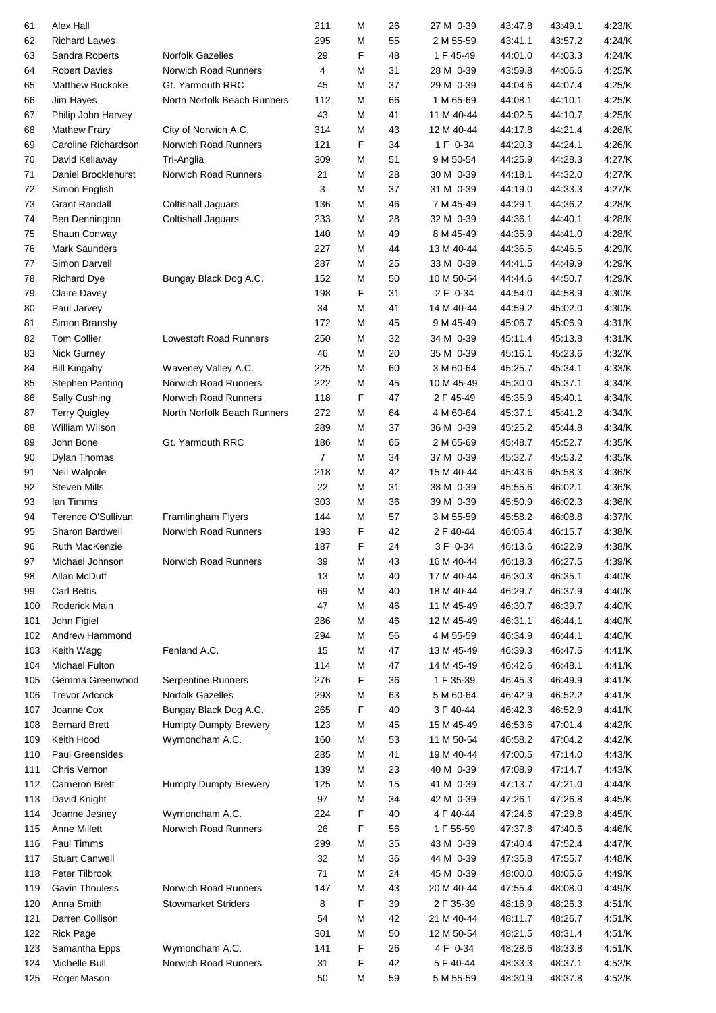| 61  | Alex Hall              |                               | 211            | М | 26 | 27 M 0-39  | 43:47.8 | 43:49.1 | 4:23/K |
|-----|------------------------|-------------------------------|----------------|---|----|------------|---------|---------|--------|
| 62  | <b>Richard Lawes</b>   |                               | 295            | М | 55 | 2 M 55-59  | 43:41.1 | 43:57.2 | 4:24/K |
| 63  | Sandra Roberts         | <b>Norfolk Gazelles</b>       | 29             | F | 48 | 1 F 45-49  | 44:01.0 | 44:03.3 | 4:24/K |
| 64  | <b>Robert Davies</b>   | Norwich Road Runners          | 4              | M | 31 | 28 M 0-39  | 43.59.8 | 44:06.6 | 4:25/K |
| 65  | <b>Matthew Buckoke</b> | Gt. Yarmouth RRC              | 45             | М | 37 | 29 M 0-39  | 44:04.6 | 44:07.4 | 4:25/K |
| 66  | Jim Hayes              | North Norfolk Beach Runners   | 112            | м | 66 | 1 M 65-69  | 44:08.1 | 44:10.1 | 4:25/K |
| 67  | Philip John Harvey     |                               | 43             | M | 41 | 11 M 40-44 | 44:02.5 | 44:10.7 | 4:25/K |
| 68  | <b>Mathew Frary</b>    | City of Norwich A.C.          | 314            | М | 43 | 12 M 40-44 | 44:17.8 | 44:21.4 | 4:26/K |
| 69  | Caroline Richardson    | Norwich Road Runners          | 121            | F | 34 | 1 F 0-34   | 44:20.3 | 44:24.1 | 4:26/K |
| 70  | David Kellaway         | Tri-Anglia                    | 309            | M | 51 | 9 M 50-54  | 44:25.9 | 44:28.3 | 4:27/K |
| 71  | Daniel Brocklehurst    | Norwich Road Runners          | 21             | М | 28 | 30 M 0-39  | 44:18.1 | 44:32.0 | 4:27/K |
| 72  | Simon English          |                               | 3              | M | 37 | 31 M 0-39  | 44:19.0 | 44:33.3 | 4:27/K |
| 73  | <b>Grant Randall</b>   | Coltishall Jaguars            | 136            | M | 46 | 7 M 45-49  | 44:29.1 | 44:36.2 | 4:28/K |
| 74  | Ben Dennington         | Coltishall Jaguars            | 233            | М | 28 | 32 M 0-39  | 44:36.1 | 44:40.1 | 4:28/K |
| 75  | Shaun Conway           |                               | 140            | М | 49 | 8 M 45-49  | 44:35.9 | 44:41.0 | 4:28/K |
| 76  | <b>Mark Saunders</b>   |                               | 227            | М | 44 | 13 M 40-44 | 44:36.5 | 44:46.5 | 4:29/K |
| 77  | Simon Darvell          |                               | 287            | М | 25 | 33 M 0-39  | 44.41.5 | 44:49.9 | 4:29/K |
| 78  | <b>Richard Dye</b>     | Bungay Black Dog A.C.         | 152            | М | 50 | 10 M 50-54 | 44:44.6 | 44:50.7 | 4:29/K |
| 79  | <b>Claire Davey</b>    |                               | 198            | F | 31 | 2 F 0-34   | 44:54.0 | 44:58.9 | 4:30/K |
| 80  | Paul Jarvey            |                               | 34             | М | 41 | 14 M 40-44 | 44:59.2 | 45:02.0 | 4:30/K |
| 81  | Simon Bransby          |                               | 172            | М | 45 | 9 M 45-49  | 45:06.7 | 45:06.9 | 4:31/K |
| 82  | <b>Tom Collier</b>     | <b>Lowestoft Road Runners</b> | 250            | М | 32 | 34 M 0-39  | 45.11.4 | 45:13.8 | 4:31/K |
| 83  | Nick Gurney            |                               | 46             | М | 20 | 35 M 0-39  | 45:16.1 | 45:23.6 | 4:32/K |
| 84  | <b>Bill Kingaby</b>    | Waveney Valley A.C.           | 225            | М | 60 | 3 M 60-64  | 45:25.7 | 45:34.1 | 4:33/K |
| 85  | <b>Stephen Panting</b> | Norwich Road Runners          | 222            | М | 45 | 10 M 45-49 | 45:30.0 | 45:37.1 | 4:34/K |
| 86  | Sally Cushing          | Norwich Road Runners          | 118            | F | 47 | 2 F 45-49  | 45:35.9 | 45:40.1 | 4:34/K |
| 87  | <b>Terry Quigley</b>   | North Norfolk Beach Runners   | 272            | М | 64 | 4 M 60-64  | 45:37.1 | 45:41.2 | 4:34/K |
| 88  | William Wilson         |                               | 289            | М | 37 | 36 M 0-39  | 45:25.2 | 45:44.8 | 4:34/K |
| 89  | John Bone              | Gt. Yarmouth RRC              | 186            | M | 65 | 2 M 65-69  | 45:48.7 | 45:52.7 | 4:35/K |
| 90  | Dylan Thomas           |                               | $\overline{7}$ | М | 34 | 37 M 0-39  | 45:32.7 | 45:53.2 | 4:35/K |
| 91  | Neil Walpole           |                               | 218            | М | 42 | 15 M 40-44 | 45:43.6 | 45:58.3 | 4:36/K |
| 92  | <b>Steven Mills</b>    |                               | 22             | М | 31 | 38 M 0-39  | 45.55.6 | 46:02.1 | 4:36/K |
| 93  | Ian Timms              |                               | 303            | М | 36 | 39 M 0-39  | 45:50.9 | 46:02.3 | 4:36/K |
| 94  | Terence O'Sullivan     | Framlingham Flyers            | 144            | М | 57 | 3 M 55-59  | 45:58.2 | 46:08.8 | 4:37/K |
| 95  | Sharon Bardwell        | Norwich Road Runners          | 193            | F | 42 | 2 F 40-44  | 46:05.4 | 46:15.7 | 4:38/K |
| 96  | <b>Ruth MacKenzie</b>  |                               | 187            | F | 24 | 3 F 0-34   | 46:13.6 | 46:22.9 | 4:38/K |
| 97  | Michael Johnson        | Norwich Road Runners          | 39             | M | 43 | 16 M 40-44 | 46:18.3 | 46:27.5 | 4:39/K |
| 98  | Allan McDuff           |                               | 13             | М | 40 | 17 M 40-44 | 46:30.3 | 46:35.1 | 4:40/K |
| 99  | <b>Carl Bettis</b>     |                               | 69             | М | 40 | 18 M 40-44 | 46:29.7 | 46:37.9 | 4:40/K |
| 100 | Roderick Main          |                               | 47             | М | 46 | 11 M 45-49 | 46:30.7 | 46:39.7 | 4:40/K |
| 101 | John Figiel            |                               | 286            | М | 46 | 12 M 45-49 | 46:31.1 | 46:44.1 | 4:40/K |
| 102 | Andrew Hammond         |                               | 294            | М | 56 | 4 M 55-59  | 46:34.9 | 46:44.1 | 4:40/K |
| 103 | Keith Wagg             | Fenland A.C.                  | 15             | М | 47 | 13 M 45-49 | 46:39.3 | 46:47.5 | 4:41/K |
| 104 | Michael Fulton         |                               | 114            | М | 47 | 14 M 45-49 | 46.42.6 | 46:48.1 | 4:41/K |
| 105 | Gemma Greenwood        | <b>Serpentine Runners</b>     | 276            | F | 36 | 1 F 35-39  | 46.45.3 | 46:49.9 | 4:41/K |
| 106 | <b>Trevor Adcock</b>   | <b>Norfolk Gazelles</b>       | 293            | М | 63 | 5 M 60-64  | 46.42.9 | 46:52.2 | 4:41/K |
| 107 | Joanne Cox             | Bungay Black Dog A.C.         | 265            | F | 40 | 3 F 40-44  | 46:42.3 | 46:52.9 | 4:41/K |
| 108 | <b>Bernard Brett</b>   | <b>Humpty Dumpty Brewery</b>  | 123            | М | 45 | 15 M 45-49 | 46.53.6 | 47:01.4 | 4:42/K |
| 109 | Keith Hood             | Wymondham A.C.                | 160            | М | 53 | 11 M 50-54 | 46:58.2 | 47:04.2 | 4:42/K |
| 110 | Paul Greensides        |                               | 285            | М | 41 | 19 M 40-44 | 47:00.5 | 47:14.0 | 4:43/K |
| 111 | Chris Vernon           |                               | 139            | М | 23 | 40 M 0-39  | 47:08.9 | 47:14.7 | 4:43/K |
| 112 | <b>Cameron Brett</b>   | <b>Humpty Dumpty Brewery</b>  | 125            | М | 15 | 41 M 0-39  | 47:13.7 | 47:21.0 | 4:44/K |
| 113 | David Knight           |                               | 97             | М | 34 | 42 M 0-39  | 47:26.1 | 47:26.8 | 4:45/K |
| 114 | Joanne Jesney          | Wymondham A.C.                | 224            | F | 40 | 4 F 40-44  | 47:24.6 | 47:29.8 | 4:45/K |
| 115 | <b>Anne Millett</b>    | Norwich Road Runners          | 26             | F | 56 | 1 F 55-59  | 47:37.8 | 47:40.6 | 4:46/K |
| 116 | Paul Timms             |                               | 299            | М | 35 | 43 M 0-39  | 47:40.4 | 47:52.4 | 4:47/K |
| 117 | <b>Stuart Canwell</b>  |                               | 32             | М | 36 | 44 M 0-39  | 47:35.8 | 47:55.7 | 4:48/K |
| 118 | Peter Tilbrook         |                               | 71             | М | 24 | 45 M 0-39  | 48:00.0 | 48:05.6 | 4:49/K |
| 119 | <b>Gavin Thouless</b>  | Norwich Road Runners          | 147            | М | 43 | 20 M 40-44 | 47:55.4 | 48:08.0 | 4:49/K |
| 120 | Anna Smith             | <b>Stowmarket Striders</b>    | 8              | F | 39 | 2 F 35-39  | 48:16.9 | 48:26.3 | 4:51/K |
| 121 | Darren Collison        |                               | 54             | М | 42 | 21 M 40-44 | 48:11.7 | 48:26.7 | 4:51/K |
| 122 | <b>Rick Page</b>       |                               | 301            | М | 50 | 12 M 50-54 | 48:21.5 | 48:31.4 | 4:51/K |
| 123 | Samantha Epps          | Wymondham A.C.                | 141            | F | 26 | 4 F 0-34   | 48:28.6 | 48:33.8 | 4:51/K |
| 124 | <b>Michelle Bull</b>   | Norwich Road Runners          | 31             | F | 42 | 5 F 40-44  | 48:33.3 | 48:37.1 | 4:52/K |
| 125 | Roger Mason            |                               | 50             | M | 59 | 5 M 55-59  | 48:30.9 | 48:37.8 | 4:52/K |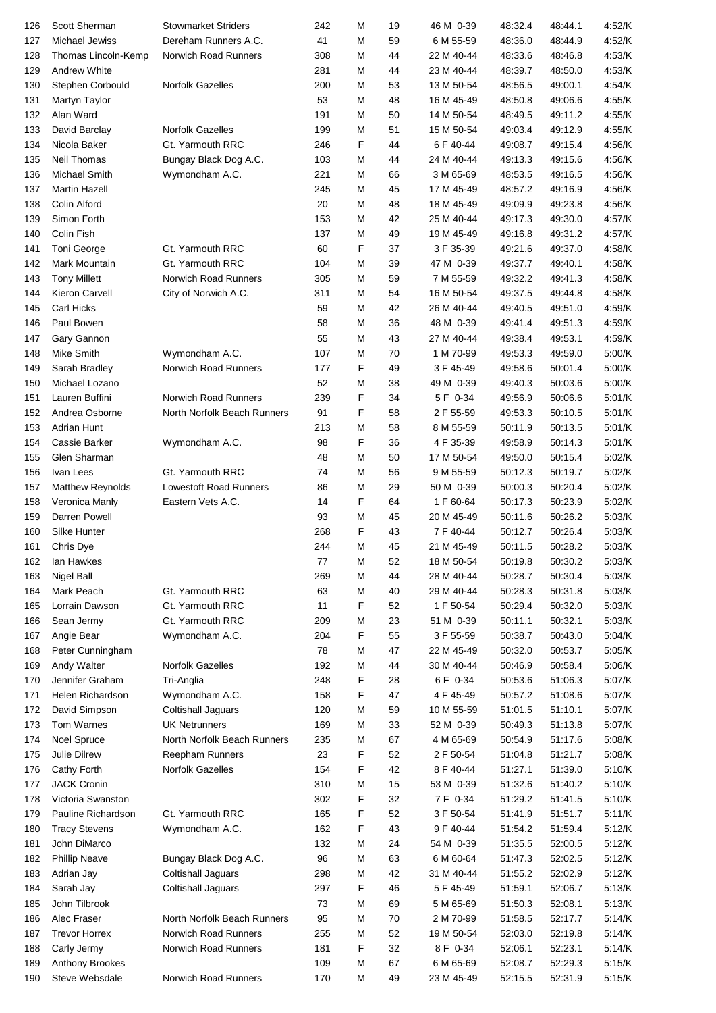| 126 | <b>Scott Sherman</b> | <b>Stowmarket Striders</b>    | 242 | М | 19 | 46 M 0-39  | 48:32.4 | 48:44.1 | 4:52/K |
|-----|----------------------|-------------------------------|-----|---|----|------------|---------|---------|--------|
| 127 | Michael Jewiss       | Dereham Runners A.C.          | 41  | М | 59 | 6 M 55-59  | 48:36.0 | 48:44.9 | 4:52/K |
| 128 | Thomas Lincoln-Kemp  | Norwich Road Runners          | 308 | М | 44 | 22 M 40-44 | 48:33.6 | 48:46.8 | 4:53/K |
| 129 | <b>Andrew White</b>  |                               | 281 | М | 44 | 23 M 40-44 | 48:39.7 | 48:50.0 | 4:53/K |
| 130 | Stephen Corbould     | Norfolk Gazelles              | 200 | М | 53 | 13 M 50-54 | 48.56.5 | 49:00.1 | 4:54/K |
| 131 | Martyn Taylor        |                               | 53  | М | 48 | 16 M 45-49 | 48:50.8 | 49:06.6 | 4:55/K |
| 132 | Alan Ward            |                               | 191 | М | 50 | 14 M 50-54 | 48:49.5 | 49:11.2 | 4:55/K |
| 133 | David Barclay        | <b>Norfolk Gazelles</b>       | 199 | М | 51 | 15 M 50-54 | 49.03.4 | 49:12.9 | 4:55/K |
| 134 | Nicola Baker         | Gt. Yarmouth RRC              | 246 | F | 44 | 6 F 40-44  | 49:08.7 | 49:15.4 | 4:56/K |
| 135 | Neil Thomas          | Bungay Black Dog A.C.         | 103 | М | 44 | 24 M 40-44 | 49:13.3 | 49:15.6 | 4:56/K |
| 136 | Michael Smith        | Wymondham A.C.                | 221 | М | 66 | 3 M 65-69  | 48:53.5 | 49:16.5 | 4:56/K |
| 137 | <b>Martin Hazell</b> |                               | 245 | М | 45 | 17 M 45-49 | 48:57.2 | 49:16.9 | 4:56/K |
| 138 | Colin Alford         |                               | 20  | М | 48 | 18 M 45-49 | 49:09.9 | 49:23.8 | 4:56/K |
| 139 | Simon Forth          |                               | 153 | М | 42 | 25 M 40-44 | 49:17.3 | 49:30.0 | 4:57/K |
| 140 | Colin Fish           |                               | 137 | М | 49 | 19 M 45-49 | 49:16.8 | 49:31.2 | 4:57/K |
| 141 | Toni George          | Gt. Yarmouth RRC              | 60  | F | 37 | 3 F 35-39  | 49.21.6 | 49:37.0 | 4:58/K |
| 142 | Mark Mountain        | Gt. Yarmouth RRC              | 104 | M | 39 | 47 M 0-39  | 49:37.7 | 49:40.1 | 4:58/K |
| 143 | <b>Tony Millett</b>  | <b>Norwich Road Runners</b>   | 305 | М | 59 | 7 M 55-59  | 49:32.2 | 49:41.3 | 4:58/K |
| 144 | Kieron Carvell       |                               | 311 | М | 54 | 16 M 50-54 | 49:37.5 | 49:44.8 | 4:58/K |
| 145 | <b>Carl Hicks</b>    | City of Norwich A.C.          | 59  | М | 42 | 26 M 40-44 | 49:40.5 | 49:51.0 | 4:59/K |
|     |                      |                               |     |   |    |            |         |         |        |
| 146 | Paul Bowen           |                               | 58  | М | 36 | 48 M 0-39  | 49.41.4 | 49:51.3 | 4:59/K |
| 147 | Gary Gannon          |                               | 55  | М | 43 | 27 M 40-44 | 49:38.4 | 49:53.1 | 4:59/K |
| 148 | Mike Smith           | Wymondham A.C.                | 107 | М | 70 | 1 M 70-99  | 49:53.3 | 49:59.0 | 5:00/K |
| 149 | Sarah Bradley        | Norwich Road Runners          | 177 | F | 49 | 3 F 45-49  | 49.58.6 | 50:01.4 | 5:00/K |
| 150 | Michael Lozano       |                               | 52  | М | 38 | 49 M 0-39  | 49:40.3 | 50:03.6 | 5:00/K |
| 151 | Lauren Buffini       | Norwich Road Runners          | 239 | F | 34 | 5 F 0-34   | 49.56.9 | 50:06.6 | 5:01/K |
| 152 | Andrea Osborne       | North Norfolk Beach Runners   | 91  | F | 58 | 2 F 55-59  | 49:53.3 | 50:10.5 | 5:01/K |
| 153 | Adrian Hunt          |                               | 213 | M | 58 | 8 M 55-59  | 50:11.9 | 50:13.5 | 5:01/K |
| 154 | Cassie Barker        | Wymondham A.C.                | 98  | F | 36 | 4 F 35-39  | 49.58.9 | 50:14.3 | 5:01/K |
| 155 | Glen Sharman         |                               | 48  | M | 50 | 17 M 50-54 | 49.50.0 | 50:15.4 | 5:02/K |
| 156 | Ivan Lees            | Gt. Yarmouth RRC              | 74  | M | 56 | 9 M 55-59  | 50:12.3 | 50:19.7 | 5:02/K |
| 157 | Matthew Reynolds     | <b>Lowestoft Road Runners</b> | 86  | М | 29 | 50 M 0-39  | 50:00.3 | 50:20.4 | 5:02/K |
| 158 | Veronica Manly       | Eastern Vets A.C.             | 14  | F | 64 | 1 F 60-64  | 50:17.3 | 50:23.9 | 5:02/K |
| 159 | Darren Powell        |                               | 93  | М | 45 | 20 M 45-49 | 50:11.6 | 50:26.2 | 5:03/K |
| 160 | Silke Hunter         |                               | 268 | F | 43 | 7 F 40-44  | 50:12.7 | 50:26.4 | 5:03/K |
| 161 | Chris Dye            |                               | 244 | М | 45 | 21 M 45-49 | 50:11.5 | 50:28.2 | 5:03/K |
| 162 | lan Hawkes           |                               | 77  | М | 52 | 18 M 50-54 | 50:19.8 | 50:30.2 | 5:03/K |
| 163 | <b>Nigel Ball</b>    |                               | 269 | М | 44 | 28 M 40-44 | 50:28.7 | 50:30.4 | 5:03/K |
| 164 | Mark Peach           | Gt. Yarmouth RRC              | 63  | М | 40 | 29 M 40-44 | 50:28.3 | 50:31.8 | 5:03/K |
| 165 | Lorrain Dawson       | Gt. Yarmouth RRC              | 11  | F | 52 | 1 F 50-54  | 50:29.4 | 50:32.0 | 5:03/K |
| 166 | Sean Jermy           | Gt. Yarmouth RRC              | 209 | М | 23 | 51 M 0-39  | 50:11.1 | 50:32.1 | 5:03/K |
| 167 | Angie Bear           | Wymondham A.C.                | 204 | F | 55 | 3 F 55-59  | 50:38.7 | 50:43.0 | 5:04/K |
| 168 | Peter Cunningham     |                               | 78  | М | 47 | 22 M 45-49 | 50:32.0 | 50:53.7 | 5:05/K |
| 169 | Andy Walter          | Norfolk Gazelles              | 192 | М | 44 | 30 M 40-44 | 50:46.9 | 50:58.4 | 5:06/K |
| 170 | Jennifer Graham      | Tri-Anglia                    | 248 | F | 28 | 6 F 0-34   | 50:53.6 | 51:06.3 | 5:07/K |
| 171 | Helen Richardson     | Wymondham A.C.                | 158 | F | 47 | 4 F 45-49  | 50:57.2 | 51:08.6 | 5:07/K |
| 172 | David Simpson        | Coltishall Jaguars            | 120 | M | 59 | 10 M 55-59 | 51:01.5 | 51:10.1 | 5:07/K |
| 173 | Tom Warnes           | <b>UK Netrunners</b>          | 169 | М | 33 | 52 M 0-39  | 50:49.3 | 51:13.8 | 5:07/K |
| 174 | Noel Spruce          | North Norfolk Beach Runners   | 235 | М | 67 | 4 M 65-69  | 50:54.9 | 51:17.6 | 5:08/K |
| 175 | Julie Dilrew         | Reepham Runners               | 23  | F | 52 | 2 F 50-54  | 51:04.8 | 51:21.7 | 5:08/K |
| 176 | Cathy Forth          | Norfolk Gazelles              | 154 | F | 42 | 8 F 40-44  | 51:27.1 | 51:39.0 | 5:10/K |
| 177 | <b>JACK Cronin</b>   |                               | 310 | М | 15 | 53 M 0-39  | 51:32.6 | 51:40.2 | 5:10/K |
| 178 | Victoria Swanston    |                               | 302 | F | 32 | 7 F 0-34   | 51:29.2 | 51:41.5 | 5:10/K |
| 179 | Pauline Richardson   | Gt. Yarmouth RRC              | 165 | F | 52 | 3 F 50-54  | 51:41.9 | 51:51.7 | 5:11/K |
| 180 | <b>Tracy Stevens</b> | Wymondham A.C.                | 162 | F | 43 | 9 F 40-44  | 51:54.2 | 51:59.4 | 5:12/K |
|     | John DiMarco         |                               | 132 | М | 24 | 54 M 0-39  | 51:35.5 | 52:00.5 | 5:12/K |
| 181 |                      |                               |     |   |    |            |         |         |        |
| 182 | <b>Phillip Neave</b> | Bungay Black Dog A.C.         | 96  | М | 63 | 6 M 60-64  | 51:47.3 | 52:02.5 | 5:12/K |
| 183 | Adrian Jay           | Coltishall Jaguars            | 298 | М | 42 | 31 M 40-44 | 51:55.2 | 52:02.9 | 5:12/K |
| 184 | Sarah Jay            | Coltishall Jaguars            | 297 | F | 46 | 5 F 45-49  | 51:59.1 | 52:06.7 | 5:13/K |
| 185 | John Tilbrook        |                               | 73  | М | 69 | 5 M 65-69  | 51:50.3 | 52:08.1 | 5:13/K |
| 186 | Alec Fraser          | North Norfolk Beach Runners   | 95  | М | 70 | 2 M 70-99  | 51:58.5 | 52:17.7 | 5:14/K |
| 187 | <b>Trevor Horrex</b> | Norwich Road Runners          | 255 | М | 52 | 19 M 50-54 | 52:03.0 | 52:19.8 | 5:14/K |
| 188 | Carly Jermy          | Norwich Road Runners          | 181 | F | 32 | 8 F 0-34   | 52:06.1 | 52:23.1 | 5:14/K |
| 189 | Anthony Brookes      |                               | 109 | М | 67 | 6 M 65-69  | 52:08.7 | 52:29.3 | 5:15/K |
| 190 | Steve Websdale       | Norwich Road Runners          | 170 | M | 49 | 23 M 45-49 | 52:15.5 | 52:31.9 | 5:15/K |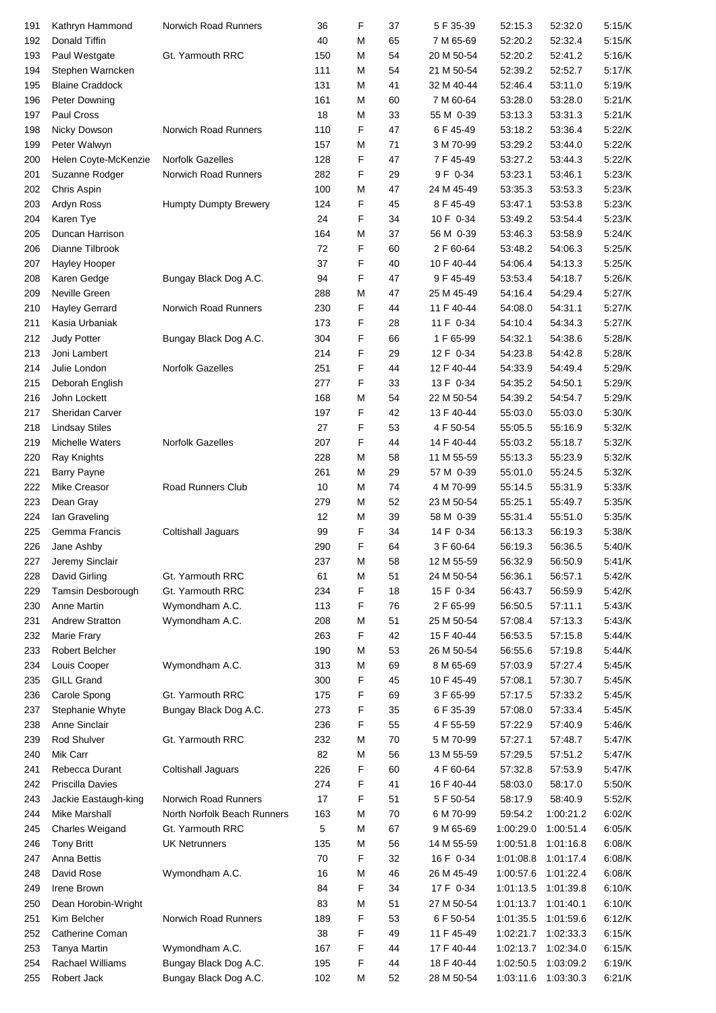| 191 | Kathryn Hammond        | Norwich Road Runners         | 36  | F | 37 | 5 F 35-39  | 52:15.3   | 52:32.0   | 5:15/K   |
|-----|------------------------|------------------------------|-----|---|----|------------|-----------|-----------|----------|
|     |                        |                              |     |   |    |            |           |           |          |
| 192 | Donald Tiffin          |                              | 40  | М | 65 | 7 M 65-69  | 52:20.2   | 52:32.4   | 5:15/K   |
| 193 | Paul Westgate          | Gt. Yarmouth RRC             | 150 | М | 54 | 20 M 50-54 | 52:20.2   | 52:41.2   | 5:16/K   |
| 194 | Stephen Warncken       |                              | 111 | М | 54 | 21 M 50-54 | 52:39.2   | 52:52.7   | 5:17/K   |
| 195 | <b>Blaine Craddock</b> |                              | 131 | м | 41 | 32 M 40-44 | 52.46.4   | 53:11.0   | 5:19/K   |
| 196 | Peter Downing          |                              | 161 | М | 60 | 7 M 60-64  | 53:28.0   | 53:28.0   | 5:21/K   |
| 197 | Paul Cross             |                              | 18  | М | 33 | 55 M 0-39  | 53:13.3   | 53:31.3   | 5:21/K   |
| 198 | Nicky Dowson           | Norwich Road Runners         | 110 | F | 47 | 6 F 45-49  | 53:18.2   | 53:36.4   | 5:22/K   |
| 199 | Peter Walwyn           |                              | 157 | M | 71 | 3 M 70-99  | 53:29.2   | 53:44.0   | 5:22/K   |
| 200 | Helen Coyte-McKenzie   | Norfolk Gazelles             | 128 | F | 47 | 7 F 45-49  | 53:27.2   | 53:44.3   | 5:22/K   |
|     | Suzanne Rodger         | Norwich Road Runners         | 282 | F | 29 | 9 F 0-34   | 53:23.1   | 53:46.1   | 5:23/K   |
| 201 |                        |                              |     |   |    |            |           |           |          |
| 202 | Chris Aspin            |                              | 100 | M | 47 | 24 M 45-49 | 53:35.3   | 53:53.3   | 5:23/K   |
| 203 | Ardyn Ross             | <b>Humpty Dumpty Brewery</b> | 124 | F | 45 | 8 F 45-49  | 53:47.1   | 53:53.8   | 5:23/K   |
| 204 | Karen Tye              |                              | 24  | F | 34 | 10 F 0-34  | 53:49.2   | 53:54.4   | 5:23/K   |
| 205 | Duncan Harrison        |                              | 164 | M | 37 | 56 M 0-39  | 53.46.3   | 53:58.9   | 5:24/K   |
| 206 | Dianne Tilbrook        |                              | 72  | F | 60 | 2 F 60-64  | 53:48.2   | 54:06.3   | 5:25/K   |
| 207 | Hayley Hooper          |                              | 37  | F | 40 | 10 F 40-44 | 54:06.4   | 54:13.3   | 5:25/K   |
| 208 | Karen Gedge            | Bungay Black Dog A.C.        | 94  | F | 47 | 9 F 45-49  | 53.53.4   | 54:18.7   | 5:26/K   |
| 209 | Neville Green          |                              | 288 | М | 47 | 25 M 45-49 | 54:16.4   | 54:29.4   | 5:27/K   |
| 210 | <b>Hayley Gerrard</b>  | Norwich Road Runners         | 230 | F | 44 | 11 F 40-44 | 54:08.0   | 54:31.1   | 5:27/K   |
| 211 | Kasia Urbaniak         |                              | 173 | F | 28 | 11 F 0-34  | 54:10.4   | 54:34.3   | 5:27/K   |
|     | <b>Judy Potter</b>     |                              |     | F |    |            |           |           |          |
| 212 |                        | Bungay Black Dog A.C.        | 304 |   | 66 | 1 F 65-99  | 54:32.1   | 54:38.6   | 5:28/K   |
| 213 | Joni Lambert           |                              | 214 | F | 29 | 12 F 0-34  | 54:23.8   | 54:42.8   | 5:28/K   |
| 214 | Julie London           | Norfolk Gazelles             | 251 | F | 44 | 12 F 40-44 | 54:33.9   | 54:49.4   | 5:29/K   |
| 215 | Deborah English        |                              | 277 | F | 33 | 13 F 0-34  | 54:35.2   | 54:50.1   | 5:29/K   |
| 216 | John Lockett           |                              | 168 | М | 54 | 22 M 50-54 | 54:39.2   | 54:54.7   | 5:29/K   |
| 217 | Sheridan Carver        |                              | 197 | F | 42 | 13 F 40-44 | 55:03.0   | 55:03.0   | 5:30/K   |
| 218 | <b>Lindsay Stiles</b>  |                              | 27  | F | 53 | 4 F 50-54  | 55:05.5   | 55:16.9   | 5:32/K   |
| 219 | Michelle Waters        | Norfolk Gazelles             | 207 | F | 44 | 14 F 40-44 | 55:03.2   | 55:18.7   | 5:32/K   |
| 220 | Ray Knights            |                              | 228 | М | 58 | 11 M 55-59 | 55:13.3   | 55:23.9   | 5:32/K   |
|     |                        |                              |     |   |    |            |           |           |          |
| 221 | <b>Barry Payne</b>     |                              | 261 | М | 29 | 57 M 0-39  | 55:01.0   | 55:24.5   | 5:32/K   |
| 222 | Mike Creasor           | Road Runners Club            | 10  | М | 74 | 4 M 70-99  | 55:14.5   | 55:31.9   | 5:33/K   |
| 223 | Dean Gray              |                              | 279 | М | 52 | 23 M 50-54 | 55:25.1   | 55:49.7   | 5:35/K   |
| 224 | Ian Graveling          |                              | 12  | М | 39 | 58 M 0-39  | 55:31.4   | 55:51.0   | 5:35/K   |
| 225 | Gemma Francis          | Coltishall Jaguars           | 99  | F | 34 | 14 F 0-34  | 56:13.3   | 56:19.3   | 5:38/K   |
| 226 | Jane Ashby             |                              | 290 | F | 64 | 3 F 60-64  | 56:19.3   | 56:36.5   | 5:40/K   |
| 227 | Jeremy Sinclair        |                              | 237 | М | 58 | 12 M 55-59 | 56:32.9   | 56:50.9   | 5:41/K   |
| 228 | David Girling          | Gt. Yarmouth RRC             | 61  | М | 51 | 24 M 50-54 | 56:36.1   | 56:57.1   | 5:42/K   |
| 229 | Tamsin Desborough      | Gt. Yarmouth RRC             | 234 | F | 18 | 15 F 0-34  | 56:43.7   | 56:59.9   | 5:42/K   |
| 230 | <b>Anne Martin</b>     | Wymondham A.C.               | 113 | F | 76 | 2 F 65-99  | 56:50.5   | 57:11.1   | 5:43/K   |
|     |                        |                              |     |   |    |            | 57:08.4   |           | 5.43/K   |
| 231 | <b>Andrew Stratton</b> | Wymondham A.C.               | 208 | M | 51 | 25 M 50-54 |           | 57:13.3   |          |
| 232 | Marie Frary            |                              | 263 | F | 42 | 15 F 40-44 | 56:53.5   | 57:15.8   | 5:44/K   |
| 233 | Robert Belcher         |                              | 190 | М | 53 | 26 M 50-54 | 56.55.6   | 57:19.8   | 5:44/K   |
| 234 | Louis Cooper           | Wymondham A.C.               | 313 | M | 69 | 8 M 65-69  | 57:03.9   | 57:27.4   | 5:45/K   |
| 235 | <b>GILL Grand</b>      |                              | 300 | F | 45 | 10 F 45-49 | 57:08.1   | 57:30.7   | 5:45/K   |
| 236 | Carole Spong           | Gt. Yarmouth RRC             | 175 | F | 69 | 3 F 65-99  | 57:17.5   | 57:33.2   | $5.45/K$ |
| 237 | Stephanie Whyte        | Bungay Black Dog A.C.        | 273 | F | 35 | 6 F 35-39  | 57:08.0   | 57:33.4   | 5:45/K   |
| 238 | Anne Sinclair          |                              | 236 | F | 55 | 4 F 55-59  | 57:22.9   | 57:40.9   | 5:46/K   |
| 239 | Rod Shulver            | Gt. Yarmouth RRC             | 232 | M | 70 | 5 M 70-99  | 57:27.1   | 57:48.7   | 5:47/K   |
| 240 | Mik Carr               |                              | 82  | М | 56 | 13 M 55-59 | 57:29.5   | 57:51.2   | 5:47/K   |
| 241 | Rebecca Durant         | Coltishall Jaguars           | 226 | F | 60 | 4 F 60-64  | 57:32.8   | 57:53.9   | 5:47/K   |
|     |                        |                              |     |   |    |            |           |           |          |
| 242 | Priscilla Davies       |                              | 274 | F | 41 | 16 F 40-44 | 58:03.0   | 58:17.0   | 5:50/K   |
| 243 | Jackie Eastaugh-king   | Norwich Road Runners         | 17  | F | 51 | 5 F 50-54  | 58:17.9   | 58:40.9   | 5:52/K   |
| 244 | Mike Marshall          | North Norfolk Beach Runners  | 163 | М | 70 | 6 M 70-99  | 59:54.2   | 1:00:21.2 | 6:02/K   |
| 245 | Charles Weigand        | Gt. Yarmouth RRC             | 5   | М | 67 | 9 M 65-69  | 1:00:29.0 | 1:00:51.4 | 6:05/K   |
| 246 | <b>Tony Britt</b>      | <b>UK Netrunners</b>         | 135 | М | 56 | 14 M 55-59 | 1:00:51.8 | 1:01:16.8 | 6:08/K   |
| 247 | Anna Bettis            |                              | 70  | F | 32 | 16 F 0-34  | 1:01:08.8 | 1:01:17.4 | 6:08/K   |
| 248 | David Rose             | Wymondham A.C.               | 16  | М | 46 | 26 M 45-49 | 1:00:57.6 | 1:01:22.4 | 6:08/K   |
| 249 | Irene Brown            |                              | 84  | F | 34 | 17 F 0-34  | 1:01:13.5 | 1:01:39.8 | 6:10/K   |
| 250 | Dean Horobin-Wright    |                              | 83  | M | 51 | 27 M 50-54 | 1:01:13.7 | 1:01:40.1 | 6:10/K   |
|     | Kim Belcher            | Norwich Road Runners         |     | F | 53 | 6 F 50-54  | 1:01:35.5 |           |          |
| 251 |                        |                              | 189 |   |    |            |           | 1:01:59.6 | 6:12/K   |
| 252 | Catherine Coman        |                              | 38  | F | 49 | 11 F 45-49 | 1:02:21.7 | 1:02:33.3 | 6:15/K   |
| 253 | Tanya Martin           | Wymondham A.C.               | 167 | F | 44 | 17 F 40-44 | 1:02:13.7 | 1:02:34.0 | 6:15/K   |
| 254 | Rachael Williams       | Bungay Black Dog A.C.        | 195 | F | 44 | 18 F 40-44 | 1:02:50.5 | 1:03:09.2 | 6:19/K   |
| 255 | Robert Jack            | Bungay Black Dog A.C.        | 102 | M | 52 | 28 M 50-54 | 1:03:11.6 | 1:03:30.3 | 6:21/K   |